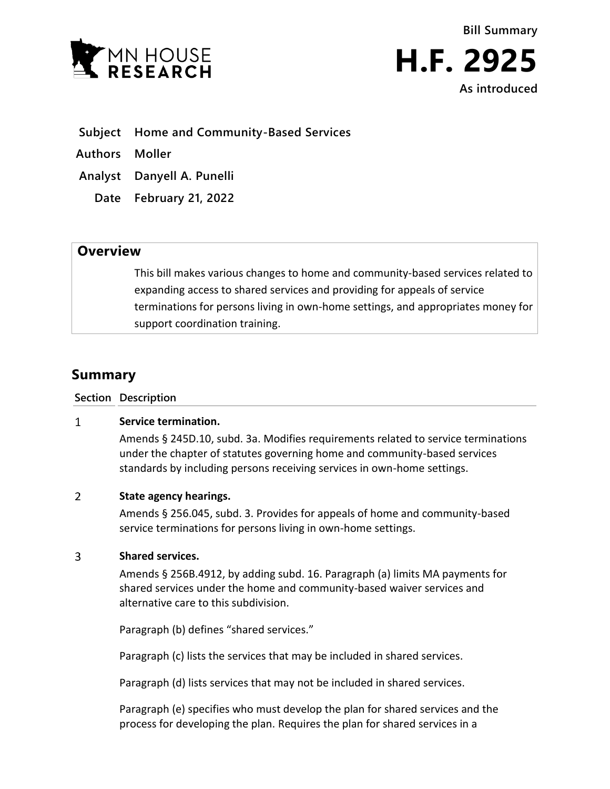

- **Subject Home and Community-Based Services**
- **Authors Moller**
- **Analyst Danyell A. Punelli**
	- **Date February 21, 2022**

## **Overview**

This bill makes various changes to home and community-based services related to expanding access to shared services and providing for appeals of service terminations for persons living in own-home settings, and appropriates money for support coordination training.

# **Summary**

**Section Description**

#### $\mathbf{1}$ **Service termination.**

Amends § 245D.10, subd. 3a. Modifies requirements related to service terminations under the chapter of statutes governing home and community-based services standards by including persons receiving services in own-home settings.

#### $\overline{2}$ **State agency hearings.**

Amends § 256.045, subd. 3. Provides for appeals of home and community-based service terminations for persons living in own-home settings.

#### $\overline{3}$ **Shared services.**

Amends § 256B.4912, by adding subd. 16. Paragraph (a) limits MA payments for shared services under the home and community-based waiver services and alternative care to this subdivision.

Paragraph (b) defines "shared services."

Paragraph (c) lists the services that may be included in shared services.

Paragraph (d) lists services that may not be included in shared services.

Paragraph (e) specifies who must develop the plan for shared services and the process for developing the plan. Requires the plan for shared services in a